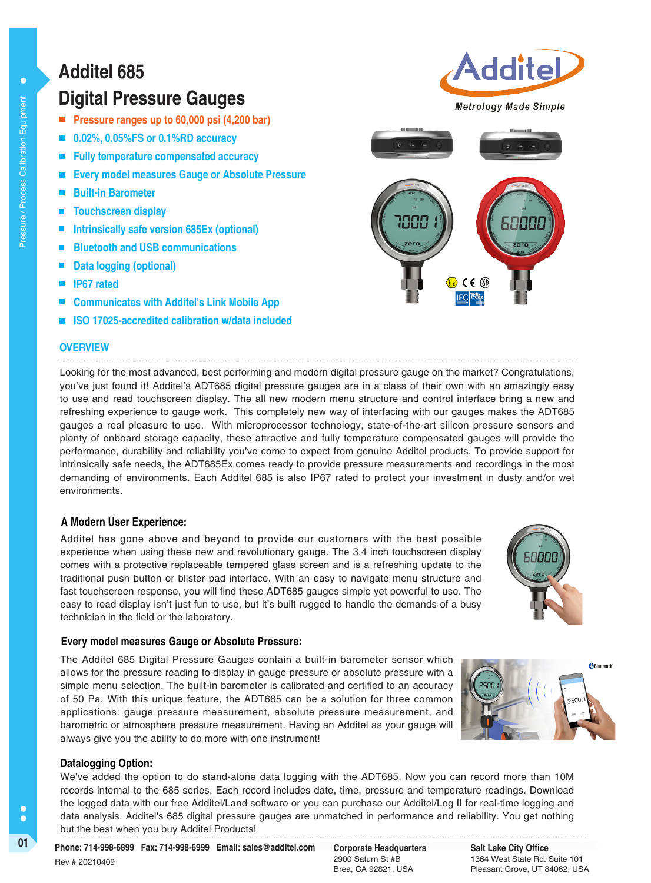# **Additel 685**

### **Digital Pressure Gauges**

- **Pressure ranges up to 60,000 psi (4,200 bar)**
- **0.02%, 0.05%FS or 0.1%RD accuracy**
- **Fully temperature compensated accuracy**
- **Every model measures Gauge or Absolute Pressure**
- **Built-in Barometer**
- **Touchscreen display**
- **Intrinsically safe version 685Ex (optional)**
- **Bluetooth and USB communications**
- **Data logging (optional)**
- **IP67 rated**
- **Communicates with Additel's Link Mobile App**
- **ISO 17025-accredited calibration w/data included**

#### **OVERVIEW**

Looking for the most advanced, best performing and modern digital pressure gauge on the market? Congratulations, you've just found it! Additel's ADT685 digital pressure gauges are in a class of their own with an amazingly easy to use and read touchscreen display. The all new modern menu structure and control interface bring a new and refreshing experience to gauge work. This completely new way of interfacing with our gauges makes the ADT685 gauges a real pleasure to use. With microprocessor technology, state-of-the-art silicon pressure sensors and plenty of onboard storage capacity, these attractive and fully temperature compensated gauges will provide the performance, durability and reliability you've come to expect from genuine Additel products. To provide support for intrinsically safe needs, the ADT685Ex comes ready to provide pressure measurements and recordings in the most demanding of environments. Each Additel 685 is also IP67 rated to protect your investment in dusty and/or wet environments.

#### **A Modern User Experience:**

Additel has gone above and beyond to provide our customers with the best possible experience when using these new and revolutionary gauge. The 3.4 inch touchscreen display comes with a protective replaceable tempered glass screen and is a refreshing update to the traditional push button or blister pad interface. With an easy to navigate menu structure and fast touchscreen response, you will find these ADT685 gauges simple yet powerful to use. The easy to read display isn't just fun to use, but it's built rugged to handle the demands of a busy technician in the field or the laboratory.

#### **Every model measures Gauge or Absolute Pressure:**

The Additel 685 Digital Pressure Gauges contain a built-in barometer sensor which allows for the pressure reading to display in gauge pressure or absolute pressure with a simple menu selection. The built-in barometer is calibrated and certified to an accuracy of 50 Pa. With this unique feature, the ADT685 can be a solution for three common applications: gauge pressure measurement, absolute pressure measurement, and barometric or atmosphere pressure measurement. Having an Additel as your gauge will always give you the ability to do more with one instrument!

#### **Datalogging Option:**

We've added the option to do stand-alone data logging with the ADT685. Now you can record more than 10M records internal to the 685 series. Each record includes date, time, pressure and temperature readings. Download the logged data with our free Additel/Land software or you can purchase our Additel/Log II for real-time logging and data analysis. Additel's 685 digital pressure gauges are unmatched in performance and reliability. You get nothing but the best when you buy Additel Products!

01 **Corporate Headquarters** Pax: 714-998-6999 Email: sales@additel.com Corporate Headquarters Rev # 20210409

2900 Saturn St #B Brea, CA 92821, USA



<sup>8</sup> Bluetooth





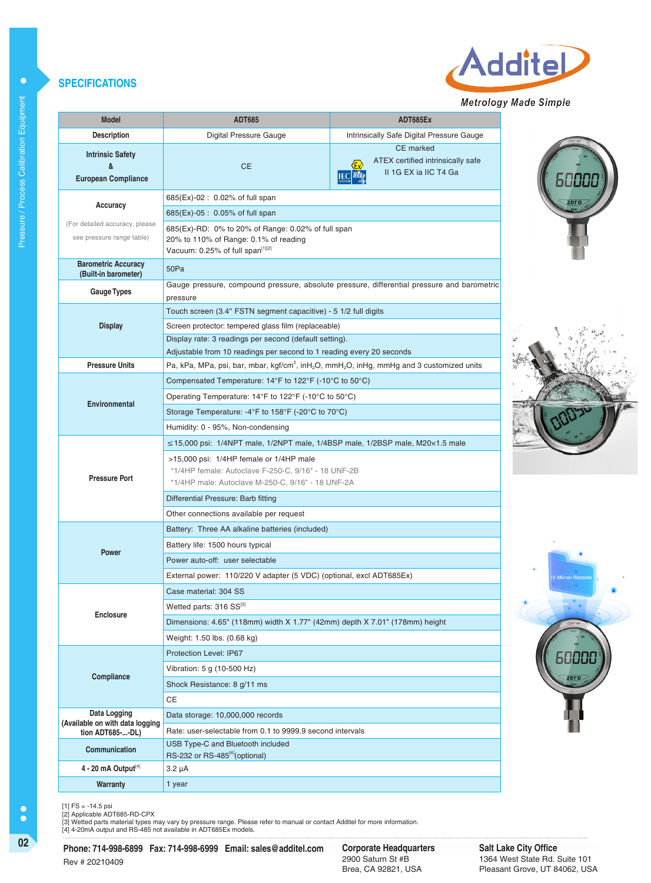#### **SPECIFICATIONS**

| <b>Model</b>                                                                                                                                                                                                                                                                                                       | <b>ADT685</b>                                                                                                                               | ADT685Ex                                                                                   |  |  |  |  |  |
|--------------------------------------------------------------------------------------------------------------------------------------------------------------------------------------------------------------------------------------------------------------------------------------------------------------------|---------------------------------------------------------------------------------------------------------------------------------------------|--------------------------------------------------------------------------------------------|--|--|--|--|--|
| <b>Description</b>                                                                                                                                                                                                                                                                                                 | Digital Pressure Gauge                                                                                                                      | Intrinsically Safe Digital Pressure Gauge                                                  |  |  |  |  |  |
| <b>Intrinsic Safety</b><br>&<br><b>European Compliance</b>                                                                                                                                                                                                                                                         | <b>CE</b>                                                                                                                                   | <b>CE</b> marked<br>ATEX certified intrinsically safe<br>II 1G EX ia IIC T4 Ga             |  |  |  |  |  |
|                                                                                                                                                                                                                                                                                                                    | 685(Ex)-02: 0.02% of full span                                                                                                              |                                                                                            |  |  |  |  |  |
| Accuracy                                                                                                                                                                                                                                                                                                           | 685(Ex)-05 : 0.05% of full span                                                                                                             |                                                                                            |  |  |  |  |  |
| (For detailed accuracy, please<br>see pressure range table)                                                                                                                                                                                                                                                        | 685(Ex)-RD: 0% to 20% of Range: 0.02% of full span<br>20% to 110% of Range: 0.1% of reading<br>Vacuum: 0.25% of full span <sup>[1][2]</sup> |                                                                                            |  |  |  |  |  |
| <b>Barometric Accuracy</b><br>(Built-in barometer)                                                                                                                                                                                                                                                                 | 50Pa                                                                                                                                        |                                                                                            |  |  |  |  |  |
| <b>Gauge Types</b>                                                                                                                                                                                                                                                                                                 | pressure                                                                                                                                    | Gauge pressure, compound pressure, absolute pressure, differential pressure and barometric |  |  |  |  |  |
|                                                                                                                                                                                                                                                                                                                    | Touch screen (3.4" FSTN segment capacitive) - 5 1/2 full digits                                                                             |                                                                                            |  |  |  |  |  |
| <b>Display</b>                                                                                                                                                                                                                                                                                                     | Screen protector: tempered glass film (replaceable)                                                                                         |                                                                                            |  |  |  |  |  |
|                                                                                                                                                                                                                                                                                                                    | Display rate: 3 readings per second (default setting).                                                                                      |                                                                                            |  |  |  |  |  |
|                                                                                                                                                                                                                                                                                                                    | Adjustable from 10 readings per second to 1 reading every 20 seconds                                                                        |                                                                                            |  |  |  |  |  |
| <b>Pressure Units</b>                                                                                                                                                                                                                                                                                              | Pa, kPa, MPa, psi, bar, mbar, kgf/cm <sup>2</sup> , inH <sub>2</sub> O, mmH <sub>2</sub> O, inHg, mmHg and 3 customized units               |                                                                                            |  |  |  |  |  |
|                                                                                                                                                                                                                                                                                                                    | Compensated Temperature: 14°F to 122°F (-10°C to 50°C)                                                                                      |                                                                                            |  |  |  |  |  |
| Environmental                                                                                                                                                                                                                                                                                                      | Operating Temperature: $14^{\circ}$ F to $122^{\circ}$ F (-10 $^{\circ}$ C to 50 $^{\circ}$ C)                                              |                                                                                            |  |  |  |  |  |
|                                                                                                                                                                                                                                                                                                                    | Storage Temperature: -4°F to 158°F (-20°C to 70°C)                                                                                          |                                                                                            |  |  |  |  |  |
|                                                                                                                                                                                                                                                                                                                    | Humidity: 0 - 95%, Non-condensing                                                                                                           |                                                                                            |  |  |  |  |  |
| $\leq$ 15,000 psi: 1/4NPT male, 1/2NPT male, 1/4BSP male, 1/2BSP male, M20 $\times$ 1.5 male<br>>15,000 psi: 1/4HP female or 1/4HP male<br>*1/4HP female: Autoclave F-250-C, 9/16" - 18 UNF-2B<br><b>Pressure Port</b><br>*1/4HP male: Autoclave M-250-C, 9/16" - 18 UNF-2A<br>Differential Pressure: Barb fitting |                                                                                                                                             |                                                                                            |  |  |  |  |  |
|                                                                                                                                                                                                                                                                                                                    | Other connections available per request                                                                                                     |                                                                                            |  |  |  |  |  |
|                                                                                                                                                                                                                                                                                                                    | Battery: Three AA alkaline batteries (included)                                                                                             |                                                                                            |  |  |  |  |  |
| <b>Power</b>                                                                                                                                                                                                                                                                                                       | Battery life: 1500 hours typical                                                                                                            |                                                                                            |  |  |  |  |  |
|                                                                                                                                                                                                                                                                                                                    | Power auto-off: user selectable                                                                                                             |                                                                                            |  |  |  |  |  |
|                                                                                                                                                                                                                                                                                                                    | External power: 110/220 V adapter (5 VDC) (optional, excl ADT685Ex)                                                                         |                                                                                            |  |  |  |  |  |
|                                                                                                                                                                                                                                                                                                                    | Case material: 304 SS                                                                                                                       |                                                                                            |  |  |  |  |  |
| <b>Enclosure</b>                                                                                                                                                                                                                                                                                                   | Wetted parts: 316 SS[3]                                                                                                                     |                                                                                            |  |  |  |  |  |
|                                                                                                                                                                                                                                                                                                                    | Dimensions: 4.65" (118mm) width X 1.77" (42mm) depth X 7.01" (178mm) height                                                                 |                                                                                            |  |  |  |  |  |
|                                                                                                                                                                                                                                                                                                                    | Weight: 1.50 lbs. (0.68 kg)                                                                                                                 |                                                                                            |  |  |  |  |  |
|                                                                                                                                                                                                                                                                                                                    | <b>Protection Level: IP67</b>                                                                                                               |                                                                                            |  |  |  |  |  |
| Compliance                                                                                                                                                                                                                                                                                                         | Vibration: 5 g (10-500 Hz)                                                                                                                  |                                                                                            |  |  |  |  |  |
|                                                                                                                                                                                                                                                                                                                    | Shock Resistance: 8 g/11 ms                                                                                                                 |                                                                                            |  |  |  |  |  |
|                                                                                                                                                                                                                                                                                                                    | <b>CE</b>                                                                                                                                   |                                                                                            |  |  |  |  |  |
| Data Logging<br>(Available on with data logging                                                                                                                                                                                                                                                                    | Data storage: 10,000,000 records                                                                                                            |                                                                                            |  |  |  |  |  |
| tion ADT685--DL)                                                                                                                                                                                                                                                                                                   | Rate: user-selectable from 0.1 to 9999.9 second intervals                                                                                   |                                                                                            |  |  |  |  |  |
| Communication                                                                                                                                                                                                                                                                                                      | USB Type-C and Bluetooth included<br>RS-232 or RS-485 <sup>[4]</sup> (optional)                                                             |                                                                                            |  |  |  |  |  |
| $4 - 20$ mA Output $^{[4]}$                                                                                                                                                                                                                                                                                        | 3.2 µA                                                                                                                                      |                                                                                            |  |  |  |  |  |
| <b>Warranty</b>                                                                                                                                                                                                                                                                                                    | 1 year                                                                                                                                      |                                                                                            |  |  |  |  |  |









 $\ddot{\bullet}$ 

[1] FS = -14.5 psi<br>[2] Applicable ADT685-RD-CPX<br>[3] Wetted parts material types may vary by pressure range. Please refer to manual or contact Additel for more information.<br>[4] 4-20mA output and RS-485 not available in ADT6

**02 Corporate Headquarters Phone: 714-998-6899 Fax: 714-998-6999 Email: sales@additel.com** Rev # 20210409

Corporate Headquarters<br>2900 Saturn St #B Brea, CA 92821, USA

**Salt Lake City Office** 1364 West State Rd. Suite 101 Pleasant Grove, UT 84062, USA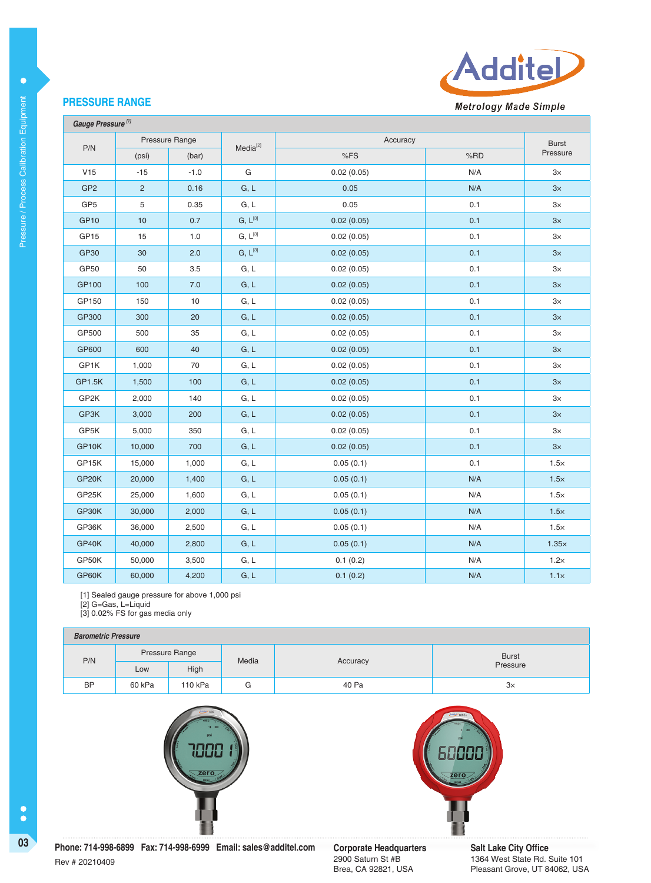

#### **PRESSURE RANGE**

 $\bullet$ 

| Gauge Pressure <sup>[1]</sup> |                |        |               |                   |     |              |  |
|-------------------------------|----------------|--------|---------------|-------------------|-----|--------------|--|
| P/N                           | Pressure Range |        | $Media^{[2]}$ | Accuracy          |     | <b>Burst</b> |  |
|                               | (psi)          | (bar)  |               | %FS               | %RD | Pressure     |  |
| V15                           | $-15$          | $-1.0$ | G             | 0.02(0.05)        | N/A | $3\times$    |  |
| GP <sub>2</sub>               | $\overline{c}$ | 0.16   | G, L          | 0.05              | N/A | 3x           |  |
| GP <sub>5</sub>               | 5              | 0.35   | G, L          | 0.05              | 0.1 | $3\times$    |  |
| <b>GP10</b>                   | 10             | 0.7    | $G, L^{[3]}$  | 0.02(0.05)        | 0.1 | 3x           |  |
| GP15                          | 15             | 1.0    | $G, L^{[3]}$  | 0.02(0.05)        | 0.1 | $3\times$    |  |
| <b>GP30</b>                   | 30             | 2.0    | $G, L^{[3]}$  | 0.02(0.05)        | 0.1 | $3\times$    |  |
| GP50                          | 50             | 3.5    | G, L          | 0.02(0.05)        | 0.1 | $3\times$    |  |
| GP100                         | 100            | 7.0    | G, L          | 0.02(0.05)        | 0.1 | 3x           |  |
| GP150                         | 150            | 10     | G, L          | 0.02(0.05)        | 0.1 | $3\times$    |  |
| GP300                         | 300            | 20     | G, L          | 0.02(0.05)        | 0.1 | $3\times$    |  |
| GP500                         | 500            | 35     | G, L          | 0.02(0.05)        | 0.1 | $3\times$    |  |
| GP600                         | 600            | 40     | G, L          | 0.1<br>0.02(0.05) |     | 3x           |  |
| GP1K                          | 1,000          | 70     | G, L          | 0.02(0.05)        | 0.1 | $3\times$    |  |
| GP1.5K                        | 1,500          | 100    | G, L          | 0.02(0.05)        | 0.1 | $3\times$    |  |
| GP2K                          | 2,000          | 140    | G, L          | 0.02(0.05)        | 0.1 | $3\times$    |  |
| GP3K                          | 3,000          | 200    | G, L          | 0.02(0.05)        | 0.1 | 3x           |  |
| GP5K                          | 5,000          | 350    | G, L          | 0.02(0.05)        | 0.1 | $3\times$    |  |
| GP10K                         | 10,000         | 700    | G, L          | 0.02(0.05)        | 0.1 | $3\times$    |  |
| GP15K                         | 15,000         | 1,000  | G, L          | 0.05(0.1)         | 0.1 | $1.5\times$  |  |
| GP20K                         | 20,000         | 1,400  | G, L          | 0.05(0.1)         | N/A | $1.5\times$  |  |
| GP25K                         | 25,000         | 1,600  | G, L          | 0.05(0.1)         | N/A | $1.5\times$  |  |
| GP30K                         | 30,000         | 2,000  | G, L          | 0.05(0.1)         | N/A | $1.5\times$  |  |
| GP36K                         | 36,000         | 2,500  | G, L          | 0.05(0.1)         | N/A | $1.5\times$  |  |
| GP40K                         | 40,000         | 2,800  | G, L          | 0.05(0.1)         | N/A | $1.35\times$ |  |
| GP50K                         | 50,000         | 3,500  | G, L          | 0.1(0.2)          | N/A | 1.2x         |  |
| GP60K                         | 60,000         | 4,200  | G, L          | 0.1(0.2)          | N/A | $1.1\times$  |  |

[1] Sealed gauge pressure for above 1,000 psi

[2] G=Gas, L=Liquid

[3] 0.02% FS for gas media only

#### **Barometric Pressure**

| <b>Daivilletile Literature</b> |                |         |       |          |              |  |
|--------------------------------|----------------|---------|-------|----------|--------------|--|
| P/N                            | Pressure Range |         | Media | Accuracy | <b>Burst</b> |  |
|                                | Low            | High    |       |          | Pressure     |  |
| <b>BP</b>                      | 60 kPa         | 110 kPa | G     | 40 Pa    | З×           |  |





Rev # 20210409

 $\bullet$ 

**03 Corporate Headquarters Corporate Headquarters Phone: 714-998-6899 Fax: 714-998-6999 Email: sales@additel.com Corporate Headquarters** 

2900 Saturn St #B Brea, CA 92821, USA **Salt Lake City Office** 1364 West State Rd. Suite 101 Pleasant Grove, UT 84062, USA